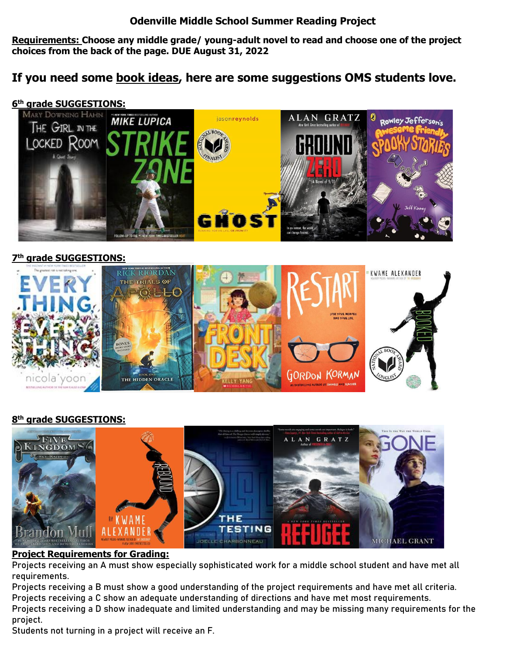## **Odenville Middle School Summer Reading Project**

**Requirements: Choose any middle grade/ young-adult novel to read and choose one of the project choices from the back of the page. DUE August 31, 2022**

# **If you need some book ideas, here are some suggestions OMS students love.**

## **6 th grade SUGGESTIONS:**



#### **7 th grade SUGGESTIONS:**



## **8 th grade SUGGESTIONS:**



#### **Project Requirements for Grading:**

**Projects receiving an A must show especially sophisticated work for a middle school student and have met all requirements.**

**Projects receiving a B must show a good understanding of the project requirements and have met all criteria. Projects receiving a C show an adequate understanding of directions and have met most requirements. Projects receiving a D show inadequate and limited understanding and may be missing many requirements for the project.**

**Students not turning in a project will receive an F.**